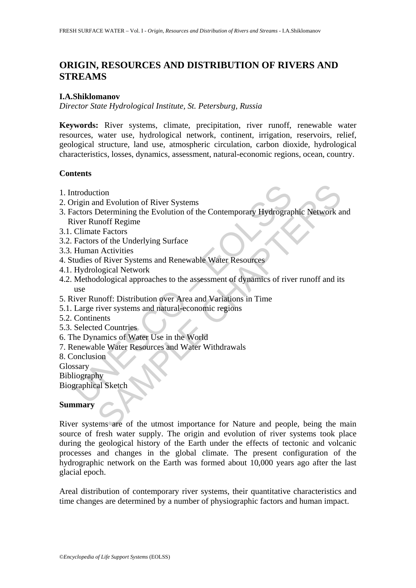# **ORIGIN, RESOURCES AND DISTRIBUTION OF RIVERS AND STREAMS**

# **I.A.Shiklomanov**

*Director State Hydrological Institute, St. Petersburg, Russia* 

**Keywords:** River systems, climate, precipitation, river runoff, renewable water resources, water use, hydrological network, continent, irrigation, reservoirs, relief, geological structure, land use, atmospheric circulation, carbon dioxide, hydrological characteristics, losses, dynamics, assessment, natural-economic regions, ocean, country.

## **Contents**

- 1. Introduction
- 2. Origin and Evolution of River Systems
- ntroduction<br>
origin and Evolution of River Systems<br>
actors Determining the Evolution of the Contemporary Hydrograp<br>
iver Runoff Regime<br>
Climate Factors<br>
Euchion Contel Underlying Surface<br>
Human Activities<br>
Human Activities tion<br>
md Evolution of River Systems<br>
Determining the Evolution of the Contemporary Hydrographic Network a<br>
monff Regime<br>
e Factors<br>
a for the Underlying Surface<br>
a Activities<br>
of River Systems and Renewable Water Resources 3. Factors Determining the Evolution of the Contemporary Hydrographic Network and River Runoff Regime
- 3.1. Climate Factors
- 3.2. Factors of the Underlying Surface
- 3.3. Human Activities
- 4. Studies of River Systems and Renewable Water Resources
- 4.1. Hydrological Network
- 4.2. Methodological approaches to the assessment of dynamics of river runoff and its use
- 5. River Runoff: Distribution over Area and Variations in Time
- 5.1. Large river systems and natural-economic regions
- 5.2. Continents
- 5.3. Selected Countries
- 6. The Dynamics of Water Use in the World
- 7. Renewable Water Resources and Water Withdrawals
- 8. Conclusion

Glossary

Bibliography

Biographical Sketch

# **Summary**

River systems are of the utmost importance for Nature and people, being the main source of fresh water supply. The origin and evolution of river systems took place during the geological history of the Earth under the effects of tectonic and volcanic processes and changes in the global climate. The present configuration of the hydrographic network on the Earth was formed about 10,000 years ago after the last glacial epoch.

Areal distribution of contemporary river systems, their quantitative characteristics and time changes are determined by a number of physiographic factors and human impact.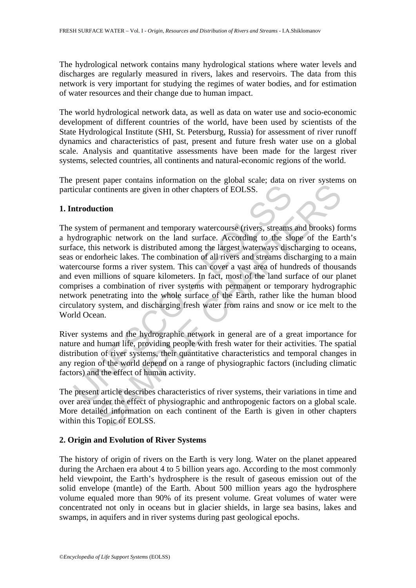The hydrological network contains many hydrological stations where water levels and discharges are regularly measured in rivers, lakes and reservoirs. The data from this network is very important for studying the regimes of water bodies, and for estimation of water resources and their change due to human impact.

The world hydrological network data, as well as data on water use and socio-economic development of different countries of the world, have been used by scientists of the State Hydrological Institute (SHI, St. Petersburg, Russia) for assessment of river runoff dynamics and characteristics of past, present and future fresh water use on a global scale. Analysis and quantitative assessments have been made for the largest river systems, selected countries, all continents and natural-economic regions of the world.

The present paper contains information on the global scale; data on river systems on particular continents are given in other chapters of EOLSS.

## **1. Introduction**

icular continents are given in other chapters of EOLSS.<br> **Atroduction**<br>
system of permanent and temporary watercourse (rivers, streams<br>
sydrographic network on the land surface. According to the slace, this network is dist continents are given in other chapters of EOLSS.<br>
continents are given in other chapters of EOLSS.<br>
comment and temporary watercourse (rivers, streams and brooks) fc<br>
phic network is distributed among the largest waterways The system of permanent and temporary watercourse (rivers, streams and brooks) forms a hydrographic network on the land surface. According to the slope of the Earth's surface, this network is distributed among the largest waterways discharging to oceans, seas or endorheic lakes. The combination of all rivers and streams discharging to a main watercourse forms a river system. This can cover a vast area of hundreds of thousands and even millions of square kilometers. In fact, most of the land surface of our planet comprises a combination of river systems with permanent or temporary hydrographic network penetrating into the whole surface of the Earth, rather like the human blood circulatory system, and discharging fresh water from rains and snow or ice melt to the World Ocean.

River systems and the hydrographic network in general are of a great importance for nature and human life, providing people with fresh water for their activities. The spatial distribution of river systems, their quantitative characteristics and temporal changes in any region of the world depend on a range of physiographic factors (including climatic factors) and the effect of human activity.

The present article describes characteristics of river systems, their variations in time and over area under the effect of physiographic and anthropogenic factors on a global scale. More detailed information on each continent of the Earth is given in other chapters within this Topic of EOLSS.

# **2. Origin and Evolution of River Systems**

The history of origin of rivers on the Earth is very long. Water on the planet appeared during the Archaen era about 4 to 5 billion years ago. According to the most commonly held viewpoint, the Earth's hydrosphere is the result of gaseous emission out of the solid envelope (mantle) of the Earth. About 500 million years ago the hydrosphere volume equaled more than 90% of its present volume. Great volumes of water were concentrated not only in oceans but in glacier shields, in large sea basins, lakes and swamps, in aquifers and in river systems during past geological epochs.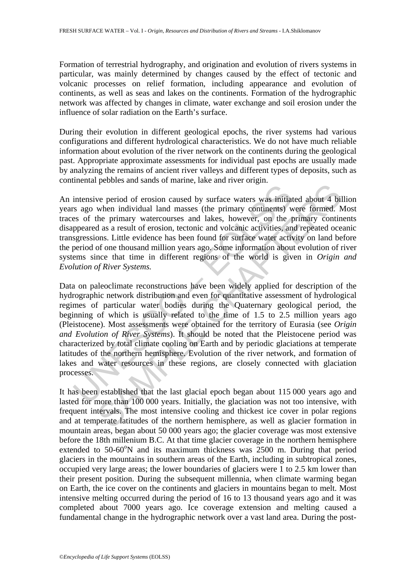Formation of terrestrial hydrography, and origination and evolution of rivers systems in particular, was mainly determined by changes caused by the effect of tectonic and volcanic processes on relief formation, including appearance and evolution of continents, as well as seas and lakes on the continents. Formation of the hydrographic network was affected by changes in climate, water exchange and soil erosion under the influence of solar radiation on the Earth's surface.

During their evolution in different geological epochs, the river systems had various configurations and different hydrological characteristics. We do not have much reliable information about evolution of the river network on the continents during the geological past. Appropriate approximate assessments for individual past epochs are usually made by analyzing the remains of ancient river valleys and different types of deposits, such as continental pebbles and sands of marine, lake and river origin.

An intensive period of erosion caused by surface waters was initiated about 4 billion years ago when individual land masses (the primary continents) were formed. Most traces of the primary watercourses and lakes, however, on the primary continents disappeared as a result of erosion, tectonic and volcanic activities, and repeated oceanic transgressions. Little evidence has been found for surface water activity on land before the period of one thousand million years ago. Some information about evolution of river systems since that time in different regions of the world is given in *Origin and Evolution of River Systems.*

intensive period of erosion caused by surface waters was initiat<br>s ago when individual land masses (the primary continents) w<br>so of the primary watercourses and lakes, however, on the p<br>speared as a result of erosion, tect realization of erosion caused by surface waters was initiated about 4 bill when individual land masses (the primary continents) were formed. A<br>the primary watercourses and lakes, however, on the primary continue<br>he primar Data on paleoclimate reconstructions have been widely applied for description of the hydrographic network distribution and even for quantitative assessment of hydrological regimes of particular water bodies during the Quaternary geological period, the beginning of which is usually related to the time of 1.5 to 2.5 million years ago (Pleistocene). Most assessments were obtained for the territory of Eurasia (see *Origin and Evolution of River Systems*). It should be noted that the Pleistocene period was characterized by total climate cooling on Earth and by periodic glaciations at temperate latitudes of the northern hemisphere. Evolution of the river network, and formation of lakes and water resources in these regions, are closely connected with glaciation processes.

It has been established that the last glacial epoch began about 115 000 years ago and lasted for more than 100 000 years. Initially, the glaciation was not too intensive, with frequent intervals. The most intensive cooling and thickest ice cover in polar regions and at temperate latitudes of the northern hemisphere, as well as glacier formation in mountain areas, began about 50 000 years ago; the glacier coverage was most extensive before the 18th millenium B.C. At that time glacier coverage in the northern hemisphere extended to  $50-60^{\circ}$ N and its maximum thickness was  $2500$  m. During that period glaciers in the mountains in southern areas of the Earth, including in subtropical zones, occupied very large areas; the lower boundaries of glaciers were 1 to 2.5 km lower than their present position. During the subsequent millennia, when climate warming began on Earth, the ice cover on the continents and glaciers in mountains began to melt. Most intensive melting occurred during the period of 16 to 13 thousand years ago and it was completed about 7000 years ago. Ice coverage extension and melting caused a fundamental change in the hydrographic network over a vast land area. During the post-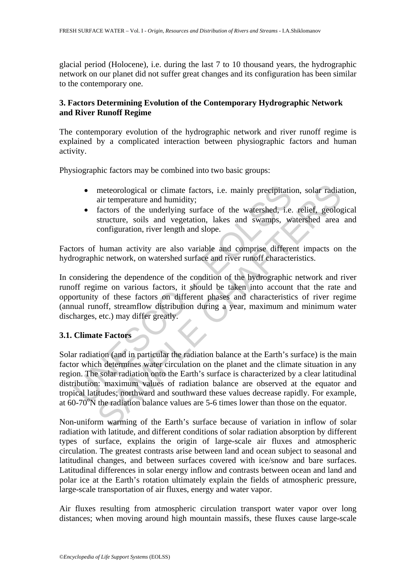glacial period (Holocene), i.e. during the last 7 to 10 thousand years, the hydrographic network on our planet did not suffer great changes and its configuration has been similar to the contemporary one.

# **3. Factors Determining Evolution of the Contemporary Hydrographic Network and River Runoff Regime**

The contemporary evolution of the hydrographic network and river runoff regime is explained by a complicated interaction between physiographic factors and human activity.

Physiographic factors may be combined into two basic groups:

- meteorological or climate factors, i.e. mainly precipitation, solar radiation, air temperature and humidity;
- factors of the underlying surface of the watershed, i.e. relief, geological structure, soils and vegetation, lakes and swamps, watershed area and configuration, river length and slope.

Factors of human activity are also variable and comprise different impacts on the hydrographic network, on watershed surface and river runoff characteristics.

In considering the dependence of the condition of the hydrographic network and river runoff regime on various factors, it should be taken into account that the rate and opportunity of these factors on different phases and characteristics of river regime (annual runoff, streamflow distribution during a year, maximum and minimum water discharges, etc.) may differ greatly.

# **3.1. Climate Factors**

• meteorological or climate factors, i.e. mainly precipitation<br>
air temperature and humidity;<br>
• factors of the underlying surface of the watershed, i.e.<br>
structure, soils and vegetation, lakes and swamps, wi<br>
configurati meteorological or climate factors, i.e. mainly precipitation, solar radiative remerature and humidity;<br>factors of the underlying surface of the watershed, i.e. relief, geolog<br>structure, solist and vegetation, lakes and swa Solar radiation (and in particular the radiation balance at the Earth's surface) is the main factor which determines water circulation on the planet and the climate situation in any region. The solar radiation onto the Earth's surface is characterized by a clear latitudinal distribution: maximum values of radiation balance are observed at the equator and tropical latitudes; northward and southward these values decrease rapidly. For example, at  $60-70^{\circ}$ N the radiation balance values are 5-6 times lower than those on the equator.

Non-uniform warming of the Earth's surface because of variation in inflow of solar radiation with latitude, and different conditions of solar radiation absorption by different types of surface, explains the origin of large-scale air fluxes and atmospheric circulation. The greatest contrasts arise between land and ocean subject to seasonal and latitudinal changes, and between surfaces covered with ice/snow and bare surfaces. Latitudinal differences in solar energy inflow and contrasts between ocean and land and polar ice at the Earth's rotation ultimately explain the fields of atmospheric pressure, large-scale transportation of air fluxes, energy and water vapor.

Air fluxes resulting from atmospheric circulation transport water vapor over long distances; when moving around high mountain massifs, these fluxes cause large-scale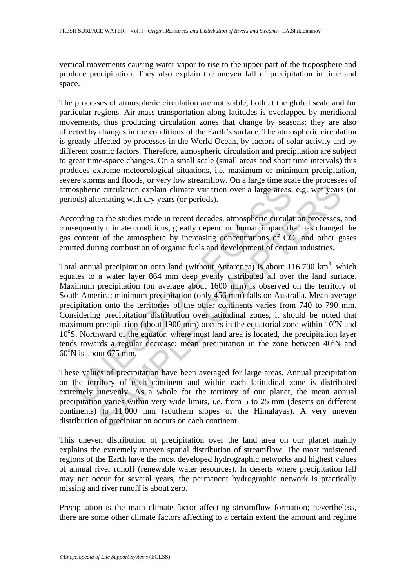vertical movements causing water vapor to rise to the upper part of the troposphere and produce precipitation. They also explain the uneven fall of precipitation in time and space.

The processes of atmospheric circulation are not stable, both at the global scale and for particular regions. Air mass transportation along latitudes is overlapped by meridional movements, thus producing circulation zones that change by seasons; they are also affected by changes in the conditions of the Earth's surface. The atmospheric circulation is greatly affected by processes in the World Ocean, by factors of solar activity and by different cosmic factors. Therefore, atmospheric circulation and precipitation are subject to great time-space changes. On a small scale (small areas and short time intervals) this produces extreme meteorological situations, i.e. maximum or minimum precipitation, severe storms and floods, or very low streamflow. On a large time scale the processes of atmospheric circulation explain climate variation over a large areas, e.g. wet years (or periods) alternating with dry years (or periods).

According to the studies made in recent decades, atmospheric circulation processes, and consequently climate conditions, greatly depend on human impact that has changed the gas content of the atmosphere by increasing concentrations of  $CO<sub>2</sub>$  and other gases emitted during combustion of organic fuels and development of certain industries.

ospheric circulation explain climate variation over a large areas,<br>ods) alternating with dry years (or periods).<br>ording to the studies made in recent decades, atmospheric circula<br>sequently climate conditions, greatly depen c circulation explain climate variation over a large areas, e.g. wet years<br>c circulation explain climate variation over a large areas, e.g. wet years<br>ternating with dry years (or periods).<br>to the studies made in recent de Total annual precipitation onto land (without Antarctica) is about  $116\,700\ \mathrm{km}^3$ , which equates to a water layer 864 mm deep evenly distributed all over the land surface. Maximum precipitation (on average about 1600 mm) is observed on the territory of South America; minimum precipitation (only 456 mm) falls on Australia. Mean average precipitation onto the territories of the other continents varies from 740 to 790 mm. Considering precipitation distribution over latitudinal zones, it should be noted that maximum precipitation (about 1900 mm) occurs in the equatorial zone within  $10^{\circ}$ N and 10°S. Northward of the equator, where most land area is located, the precipitation layer tends towards a regular decrease; mean precipitation in the zone between 40°N and  $60^{\circ}$ N is about 675 mm.

These values of precipitation have been averaged for large areas. Annual precipitation on the territory of each continent and within each latitudinal zone is distributed extremely unevenly. As a whole for the territory of our planet, the mean annual precipitation varies within very wide limits, i.e. from 5 to 25 mm (deserts on different continents) to 11 000 mm (southern slopes of the Himalayas). A very uneven distribution of precipitation occurs on each continent.

This uneven distribution of precipitation over the land area on our planet mainly explains the extremely uneven spatial distribution of streamflow. The most moistened regions of the Earth have the most developed hydrographic networks and highest values of annual river runoff (renewable water resources). In deserts where precipitation fall may not occur for several years, the permanent hydrographic network is practically missing and river runoff is about zero.

Precipitation is the main climate factor affecting streamflow formation; nevertheless, there are some other climate factors affecting to a certain extent the amount and regime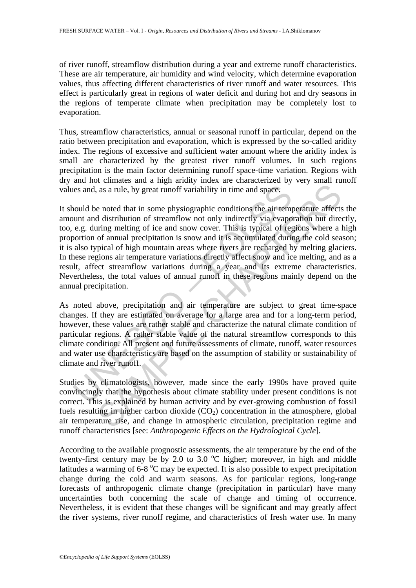of river runoff, streamflow distribution during a year and extreme runoff characteristics. These are air temperature, air humidity and wind velocity, which determine evaporation values, thus affecting different characteristics of river runoff and water resources. This effect is particularly great in regions of water deficit and during hot and dry seasons in the regions of temperate climate when precipitation may be completely lost to evaporation.

Thus, streamflow characteristics, annual or seasonal runoff in particular, depend on the ratio between precipitation and evaporation, which is expressed by the so-called aridity index. The regions of excessive and sufficient water amount where the aridity index is small are characterized by the greatest river runoff volumes. In such regions precipitation is the main factor determining runoff space-time variation. Regions with dry and hot climates and a high aridity index are characterized by very small runoff values and, as a rule, by great runoff variability in time and space.

ies and, as a rule, by great runoff variability in time and space.<br>
nould be noted that in some physiographic conditions the air tem<br>
nunt and distribution of streamflow not only indirectly via evapo<br>
e.g. during melting o as a rule, by great runoff variability in time and space.<br>
as a rule, by great runoff variability in time and space.<br>
e noted that in some physiographic conditions the air temperature affects<br>
d distribution of streamflow It should be noted that in some physiographic conditions the air temperature affects the amount and distribution of streamflow not only indirectly via evaporation but directly, too, e.g. during melting of ice and snow cover. This is typical of regions where a high proportion of annual precipitation is snow and it is accumulated during the cold season; it is also typical of high mountain areas where rivers are recharged by melting glaciers. In these regions air temperature variations directly affect snow and ice melting, and as a result, affect streamflow variations during a year and its extreme characteristics. Nevertheless, the total values of annual runoff in these regions mainly depend on the annual precipitation.

As noted above, precipitation and air temperature are subject to great time-space changes. If they are estimated on average for a large area and for a long-term period, however, these values are rather stable and characterize the natural climate condition of particular regions. A rather stable value of the natural streamflow corresponds to this climate condition. All present and future assessments of climate, runoff, water resources and water use characteristics are based on the assumption of stability or sustainability of climate and river runoff.

Studies by climatologists, however, made since the early 1990s have proved quite convincingly that the hypothesis about climate stability under present conditions is not correct. This is explained by human activity and by ever-growing combustion of fossil fuels resulting in higher carbon dioxide  $(CO<sub>2</sub>)$  concentration in the atmosphere, global air temperature rise, and change in atmospheric circulation, precipitation regime and runoff characteristics [see: *Anthropogenic Effects on the Hydrological Cycle*].

According to the available prognostic assessments, the air temperature by the end of the twenty-first century may be by 2.0 to 3.0  $^{\circ}$ C higher; moreover, in high and middle latitudes a warming of  $6-8$  °C may be expected. It is also possible to expect precipitation change during the cold and warm seasons. As for particular regions, long-range forecasts of anthropogenic climate change (precipitation in particular) have many uncertainties both concerning the scale of change and timing of occurrence. Nevertheless, it is evident that these changes will be significant and may greatly affect the river systems, river runoff regime, and characteristics of fresh water use. In many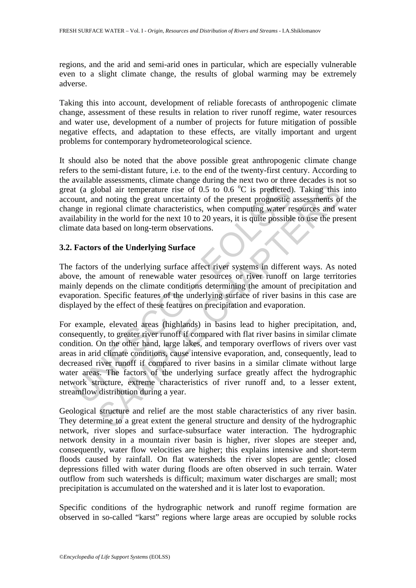regions, and the arid and semi-arid ones in particular, which are especially vulnerable even to a slight climate change, the results of global warming may be extremely adverse.

Taking this into account, development of reliable forecasts of anthropogenic climate change, assessment of these results in relation to river runoff regime, water resources and water use, development of a number of projects for future mitigation of possible negative effects, and adaptation to these effects, are vitally important and urgent problems for contemporary hydrometeorological science.

It should also be noted that the above possible great anthropogenic climate change refers to the semi-distant future, i.e. to the end of the twenty-first century. According to the available assessments, climate change during the next two or three decades is not so great (a global air temperature rise of 0.5 to 0.6  $\degree$ C is predicted). Taking this into account, and noting the great uncertainty of the present prognostic assessments of the change in regional climate characteristics, when computing water resources and water availability in the world for the next 10 to 20 years, it is quite possible to use the present climate data based on long-term observations.

# **3.2. Factors of the Underlying Surface**

The factors of the underlying surface affect river systems in different ways. As noted above, the amount of renewable water resources or river runoff on large territories mainly depends on the climate conditions determining the amount of precipitation and evaporation. Specific features of the underlying surface of river basins in this case are displayed by the effect of these features on precipitation and evaporation.

It (a global air temperature rise of 0.5 to 0.6 °C is predicted)<br>count, and noting the great uncertainty of the present prognostic<br>ge in regional climate characteristics, when computing water re<br>lability in the world for t obal air temperature rise of 0.5 to 0.6 °C is predicted). Taking this<br>coloral air temperature rise of 0.5 to 0.6 °C is predicted). Taking this<br>ed noting the great uncertainty of the present prognostic assessments of<br>experi For example, elevated areas (highlands) in basins lead to higher precipitation, and, consequently, to greater river runoff if compared with flat river basins in similar climate condition. On the other hand, large lakes, and temporary overflows of rivers over vast areas in arid climate conditions, cause intensive evaporation, and, consequently, lead to decreased river runoff if compared to river basins in a similar climate without large water areas. The factors of the underlying surface greatly affect the hydrographic network structure, extreme characteristics of river runoff and, to a lesser extent, streamflow distribution during a year.

Geological structure and relief are the most stable characteristics of any river basin. They determine to a great extent the general structure and density of the hydrographic network, river slopes and surface-subsurface water interaction. The hydrographic network density in a mountain river basin is higher, river slopes are steeper and, consequently, water flow velocities are higher; this explains intensive and short-term floods caused by rainfall. On flat watersheds the river slopes are gentle; closed depressions filled with water during floods are often observed in such terrain. Water outflow from such watersheds is difficult; maximum water discharges are small; most precipitation is accumulated on the watershed and it is later lost to evaporation.

Specific conditions of the hydrographic network and runoff regime formation are observed in so-called "karst" regions where large areas are occupied by soluble rocks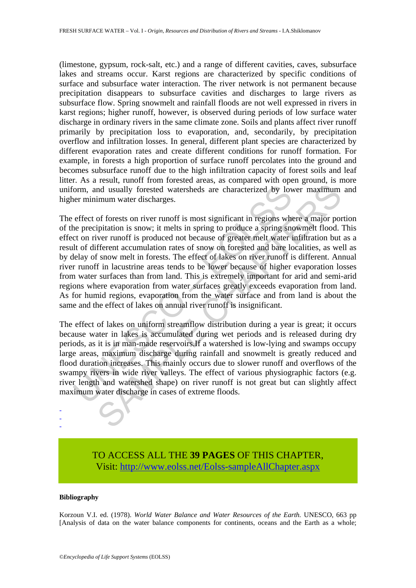(limestone, gypsum, rock-salt, etc.) and a range of different cavities, caves, subsurface lakes and streams occur. Karst regions are characterized by specific conditions of surface and subsurface water interaction. The river network is not permanent because precipitation disappears to subsurface cavities and discharges to large rivers as subsurface flow. Spring snowmelt and rainfall floods are not well expressed in rivers in karst regions; higher runoff, however, is observed during periods of low surface water discharge in ordinary rivers in the same climate zone. Soils and plants affect river runoff primarily by precipitation loss to evaporation, and, secondarily, by precipitation overflow and infiltration losses. In general, different plant species are characterized by different evaporation rates and create different conditions for runoff formation. For example, in forests a high proportion of surface runoff percolates into the ground and becomes subsurface runoff due to the high infiltration capacity of forest soils and leaf litter. As a result, runoff from forested areas, as compared with open ground, is more uniform, and usually forested watersheds are characterized by lower maximum and higher minimum water discharges.

form, and usually forested watersheds are characterized by loven minimum water discharges.<br>
effect of forests on river runoff is most significant in regions whe renceipitation is snow, it melts in spring to produce a sprin nd usually forested watersheds are characterized by lower maximum<br>mum water discharges.<br>The maximum water discharges.<br>The forests on river runoff is most significant in regions where a major por-<br>pipitation is snow, it mel The effect of forests on river runoff is most significant in regions where a major portion of the precipitation is snow; it melts in spring to produce a spring snowmelt flood. This effect on river runoff is produced not because of greater melt water infiltration but as a result of different accumulation rates of snow on forested and bare localities, as well as by delay of snow melt in forests. The effect of lakes on river runoff is different. Annual river runoff in lacustrine areas tends to be lower because of higher evaporation losses from water surfaces than from land. This is extremely important for arid and semi-arid regions where evaporation from water surfaces greatly exceeds evaporation from land. As for humid regions, evaporation from the water surface and from land is about the same and the effect of lakes on annual river runoff is insignificant.

The effect of lakes on uniform streamflow distribution during a year is great; it occurs because water in lakes is accumulated during wet periods and is released during dry periods, as it is in man-made reservoirs.If a watershed is low-lying and swamps occupy large areas, maximum discharge during rainfall and snowmelt is greatly reduced and flood duration increases. This mainly occurs due to slower runoff and overflows of the swampy rivers in wide river valleys. The effect of various physiographic factors (e.g. river length and watershed shape) on river runoff is not great but can slightly affect maximum water discharge in cases of extreme floods.

> TO ACCESS ALL THE **39 PAGES** OF THIS CHAPTER, Visit[: http://www.eolss.net/Eolss-sampleAllChapter.aspx](https://www.eolss.net/ebooklib/sc_cart.aspx?File=E2-07-01)

#### **Bibliography**

- - -

Korzoun V.I. ed. (1978). *World Water Balance and Water Resources of the Earth.* UNESCO, 663 pp [Analysis of data on the water balance components for continents, oceans and the Earth as a whole;